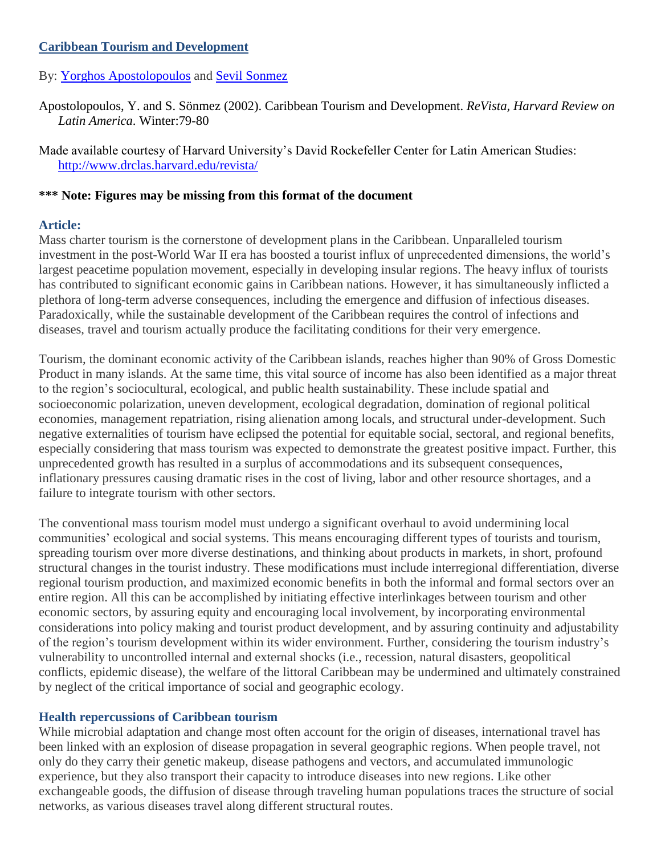# **Caribbean Tourism and Development**

# By: [Yorghos Apostolopoulos](http://libres.uncg.edu/ir/uncg/clist.aspx?id=3233) and [Sevil Sonmez](http://libres.uncg.edu/ir/uncg/clist.aspx?id=3232)

- Apostolopoulos, Y. and S. Sönmez (2002). Caribbean Tourism and Development. *ReVista, Harvard Review on Latin America*. Winter:79-80
- Made available courtesy of Harvard University's David Rockefeller Center for Latin American Studies: <http://www.drclas.harvard.edu/revista/>

### **\*\*\* Note: Figures may be missing from this format of the document**

### **Article:**

Mass charter tourism is the cornerstone of development plans in the Caribbean. Unparalleled tourism investment in the post-World War II era has boosted a tourist influx of unprecedented dimensions, the world's largest peacetime population movement, especially in developing insular regions. The heavy influx of tourists has contributed to significant economic gains in Caribbean nations. However, it has simultaneously inflicted a plethora of long-term adverse consequences, including the emergence and diffusion of infectious diseases. Paradoxically, while the sustainable development of the Caribbean requires the control of infections and diseases, travel and tourism actually produce the facilitating conditions for their very emergence.

Tourism, the dominant economic activity of the Caribbean islands, reaches higher than 90% of Gross Domestic Product in many islands. At the same time, this vital source of income has also been identified as a major threat to the region's sociocultural, ecological, and public health sustainability. These include spatial and socioeconomic polarization, uneven development, ecological degradation, domination of regional political economies, management repatriation, rising alienation among locals, and structural under-development. Such negative externalities of tourism have eclipsed the potential for equitable social, sectoral, and regional benefits, especially considering that mass tourism was expected to demonstrate the greatest positive impact. Further, this unprecedented growth has resulted in a surplus of accommodations and its subsequent consequences, inflationary pressures causing dramatic rises in the cost of living, labor and other resource shortages, and a failure to integrate tourism with other sectors.

The conventional mass tourism model must undergo a significant overhaul to avoid undermining local communities' ecological and social systems. This means encouraging different types of tourists and tourism, spreading tourism over more diverse destinations, and thinking about products in markets, in short, profound structural changes in the tourist industry. These modifications must include interregional differentiation, diverse regional tourism production, and maximized economic benefits in both the informal and formal sectors over an entire region. All this can be accomplished by initiating effective interlinkages between tourism and other economic sectors, by assuring equity and encouraging local involvement, by incorporating environmental considerations into policy making and tourist product development, and by assuring continuity and adjustability of the region's tourism development within its wider environment. Further, considering the tourism industry's vulnerability to uncontrolled internal and external shocks (i.e., recession, natural disasters, geopolitical conflicts, epidemic disease), the welfare of the littoral Caribbean may be undermined and ultimately constrained by neglect of the critical importance of social and geographic ecology.

### **Health repercussions of Caribbean tourism**

While microbial adaptation and change most often account for the origin of diseases, international travel has been linked with an explosion of disease propagation in several geographic regions. When people travel, not only do they carry their genetic makeup, disease pathogens and vectors, and accumulated immunologic experience, but they also transport their capacity to introduce diseases into new regions. Like other exchangeable goods, the diffusion of disease through traveling human populations traces the structure of social networks, as various diseases travel along different structural routes.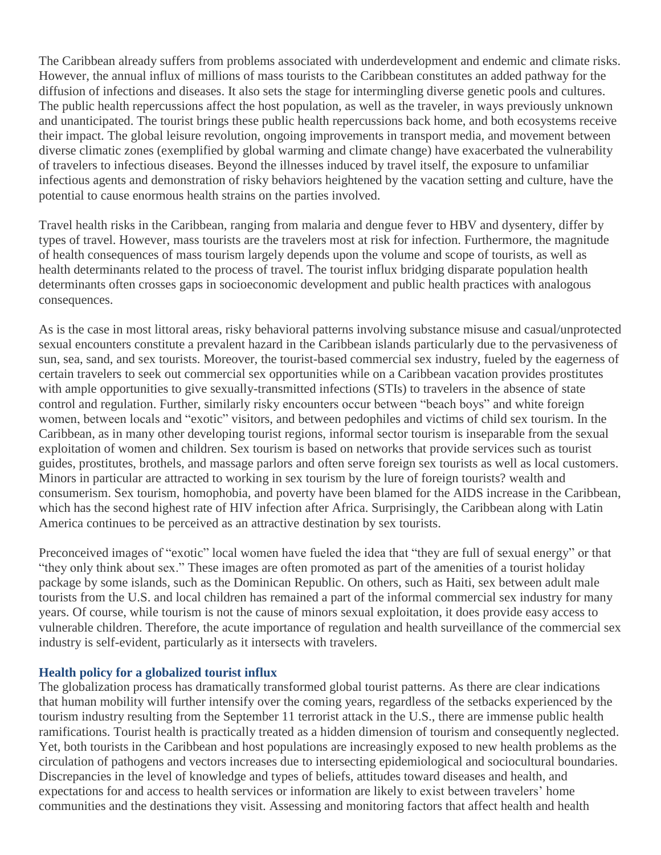The Caribbean already suffers from problems associated with underdevelopment and endemic and climate risks. However, the annual influx of millions of mass tourists to the Caribbean constitutes an added pathway for the diffusion of infections and diseases. It also sets the stage for intermingling diverse genetic pools and cultures. The public health repercussions affect the host population, as well as the traveler, in ways previously unknown and unanticipated. The tourist brings these public health repercussions back home, and both ecosystems receive their impact. The global leisure revolution, ongoing improvements in transport media, and movement between diverse climatic zones (exemplified by global warming and climate change) have exacerbated the vulnerability of travelers to infectious diseases. Beyond the illnesses induced by travel itself, the exposure to unfamiliar infectious agents and demonstration of risky behaviors heightened by the vacation setting and culture, have the potential to cause enormous health strains on the parties involved.

Travel health risks in the Caribbean, ranging from malaria and dengue fever to HBV and dysentery, differ by types of travel. However, mass tourists are the travelers most at risk for infection. Furthermore, the magnitude of health consequences of mass tourism largely depends upon the volume and scope of tourists, as well as health determinants related to the process of travel. The tourist influx bridging disparate population health determinants often crosses gaps in socioeconomic development and public health practices with analogous consequences.

As is the case in most littoral areas, risky behavioral patterns involving substance misuse and casual/unprotected sexual encounters constitute a prevalent hazard in the Caribbean islands particularly due to the pervasiveness of sun, sea, sand, and sex tourists. Moreover, the tourist-based commercial sex industry, fueled by the eagerness of certain travelers to seek out commercial sex opportunities while on a Caribbean vacation provides prostitutes with ample opportunities to give sexually-transmitted infections (STIs) to travelers in the absence of state control and regulation. Further, similarly risky encounters occur between "beach boys" and white foreign women, between locals and "exotic" visitors, and between pedophiles and victims of child sex tourism. In the Caribbean, as in many other developing tourist regions, informal sector tourism is inseparable from the sexual exploitation of women and children. Sex tourism is based on networks that provide services such as tourist guides, prostitutes, brothels, and massage parlors and often serve foreign sex tourists as well as local customers. Minors in particular are attracted to working in sex tourism by the lure of foreign tourists? wealth and consumerism. Sex tourism, homophobia, and poverty have been blamed for the AIDS increase in the Caribbean, which has the second highest rate of HIV infection after Africa. Surprisingly, the Caribbean along with Latin America continues to be perceived as an attractive destination by sex tourists.

Preconceived images of "exotic" local women have fueled the idea that "they are full of sexual energy" or that "they only think about sex." These images are often promoted as part of the amenities of a tourist holiday package by some islands, such as the Dominican Republic. On others, such as Haiti, sex between adult male tourists from the U.S. and local children has remained a part of the informal commercial sex industry for many years. Of course, while tourism is not the cause of minors sexual exploitation, it does provide easy access to vulnerable children. Therefore, the acute importance of regulation and health surveillance of the commercial sex industry is self-evident, particularly as it intersects with travelers.

### **Health policy for a globalized tourist influx**

The globalization process has dramatically transformed global tourist patterns. As there are clear indications that human mobility will further intensify over the coming years, regardless of the setbacks experienced by the tourism industry resulting from the September 11 terrorist attack in the U.S., there are immense public health ramifications. Tourist health is practically treated as a hidden dimension of tourism and consequently neglected. Yet, both tourists in the Caribbean and host populations are increasingly exposed to new health problems as the circulation of pathogens and vectors increases due to intersecting epidemiological and sociocultural boundaries. Discrepancies in the level of knowledge and types of beliefs, attitudes toward diseases and health, and expectations for and access to health services or information are likely to exist between travelers' home communities and the destinations they visit. Assessing and monitoring factors that affect health and health